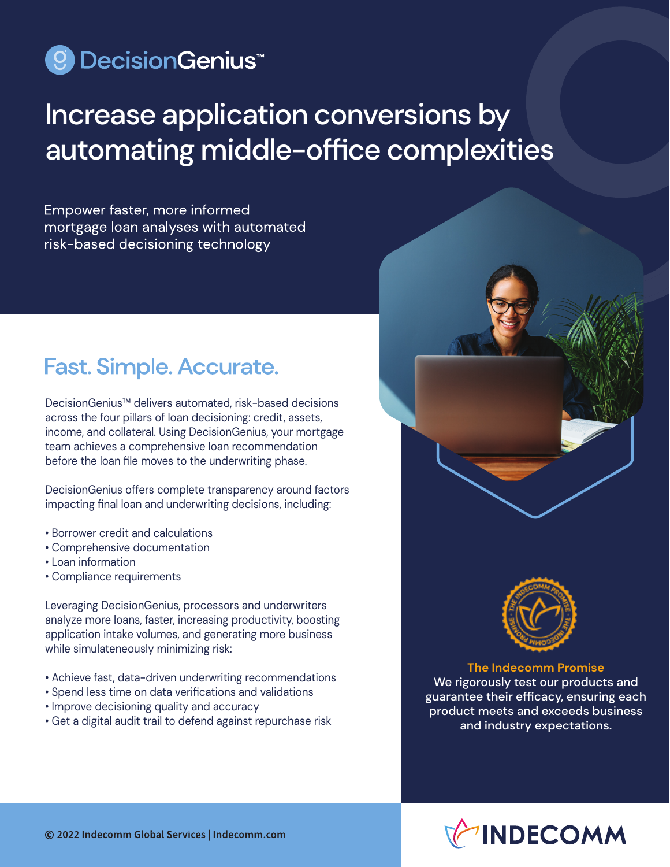## © DecisionGenius<sup>™</sup>

# Increase application conversions by automating middle-office complexities

Empower faster, more informed mortgage loan analyses with automated risk-based decisioning technology

## **Fast. Simple. Accurate.**

DecisionGenius™ delivers automated, risk-based decisions across the four pillars of loan decisioning: credit, assets, income, and collateral. Using DecisionGenius, your mortgage team achieves a comprehensive loan recommendation before the loan file moves to the underwriting phase.

DecisionGenius offers complete transparency around factors impacting final loan and underwriting decisions, including:

- Borrower credit and calculations
- Comprehensive documentation
- Loan information
- Compliance requirements

Leveraging DecisionGenius, processors and underwriters analyze more loans, faster, increasing productivity, boosting application intake volumes, and generating more business while simulateneously minimizing risk:

- Achieve fast, data-driven underwriting recommendations
- Spend less time on data verifications and validations
- Improve decisioning quality and accuracy
- Get a digital audit trail to defend against repurchase risk



**The Indecomm Promise** We rigorously test our products and guarantee their efficacy, ensuring each product meets and exceeds business and industry expectations.